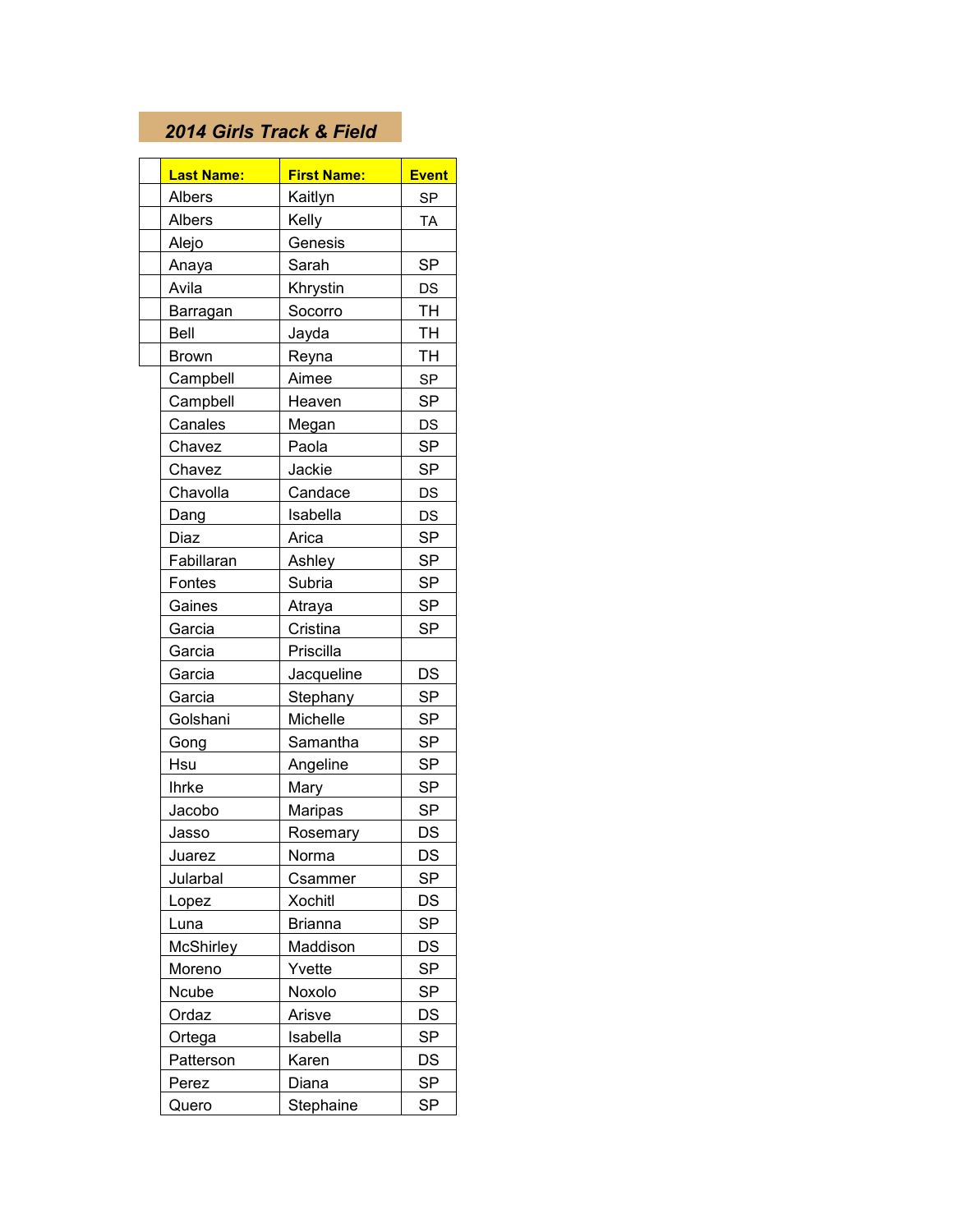## *2014 Girls Track & Field*

|              | <b>Last Name:</b> | <b>First Name:</b> | <b>Event</b> |
|--------------|-------------------|--------------------|--------------|
| Albers       |                   | Kaitlyn            | <b>SP</b>    |
| Albers       |                   | Kelly              | <b>TA</b>    |
| Alejo        |                   | Genesis            |              |
| Anaya        |                   | Sarah              | <b>SP</b>    |
| Avila        |                   | Khrystin           | DS           |
|              | Barragan          | Socorro            | <b>TH</b>    |
| Bell         |                   | Jayda              | TH           |
| <b>Brown</b> |                   | Reyna              | <b>TH</b>    |
|              | Campbell          | Aimee              | <b>SP</b>    |
|              | Campbell          | Heaven             | <b>SP</b>    |
|              | Canales           | Megan              | DS           |
|              | Chavez            | Paola              | <b>SP</b>    |
|              | Chavez            | Jackie             | <b>SP</b>    |
|              | Chavolla          | Candace            | DS           |
| Dang         |                   | Isabella           | DS           |
| Diaz         |                   | Arica              | <b>SP</b>    |
|              | Fabillaran        | Ashley             | <b>SP</b>    |
|              | Fontes            | Subria             | SP           |
|              | Gaines            | Atraya             | <b>SP</b>    |
| Garcia       |                   | Cristina           | <b>SP</b>    |
| Garcia       |                   | Priscilla          |              |
| Garcia       |                   | Jacqueline         | DS           |
| Garcia       |                   | Stephany           | <b>SP</b>    |
|              | Golshani          | Michelle           | <b>SP</b>    |
| Gong         |                   | Samantha           | SP           |
| Hsu          |                   | Angeline           | SP           |
| <b>Ihrke</b> |                   | Mary               | <b>SP</b>    |
|              | Jacobo            | Maripas            | <b>SP</b>    |
| Jasso        |                   | Rosemary           | DS           |
| Juarez       |                   | Norma              | DS           |
|              | Jularbal          | Csammer            | <b>SP</b>    |
| Lopez        |                   | <b>Xochitl</b>     | DS           |
| Luna         |                   | <b>Brianna</b>     | SP           |
|              | McShirley         | Maddison           | DS           |
|              | Moreno            | Yvette             | <b>SP</b>    |
| Ncube        |                   | Noxolo             | <b>SP</b>    |
| Ordaz        |                   | Arisve             | DS           |
|              | Ortega            | Isabella           | SP           |
|              | Patterson         | Karen              | DS           |
| Perez        |                   | Diana              | <b>SP</b>    |
| Quero        |                   | Stephaine          | <b>SP</b>    |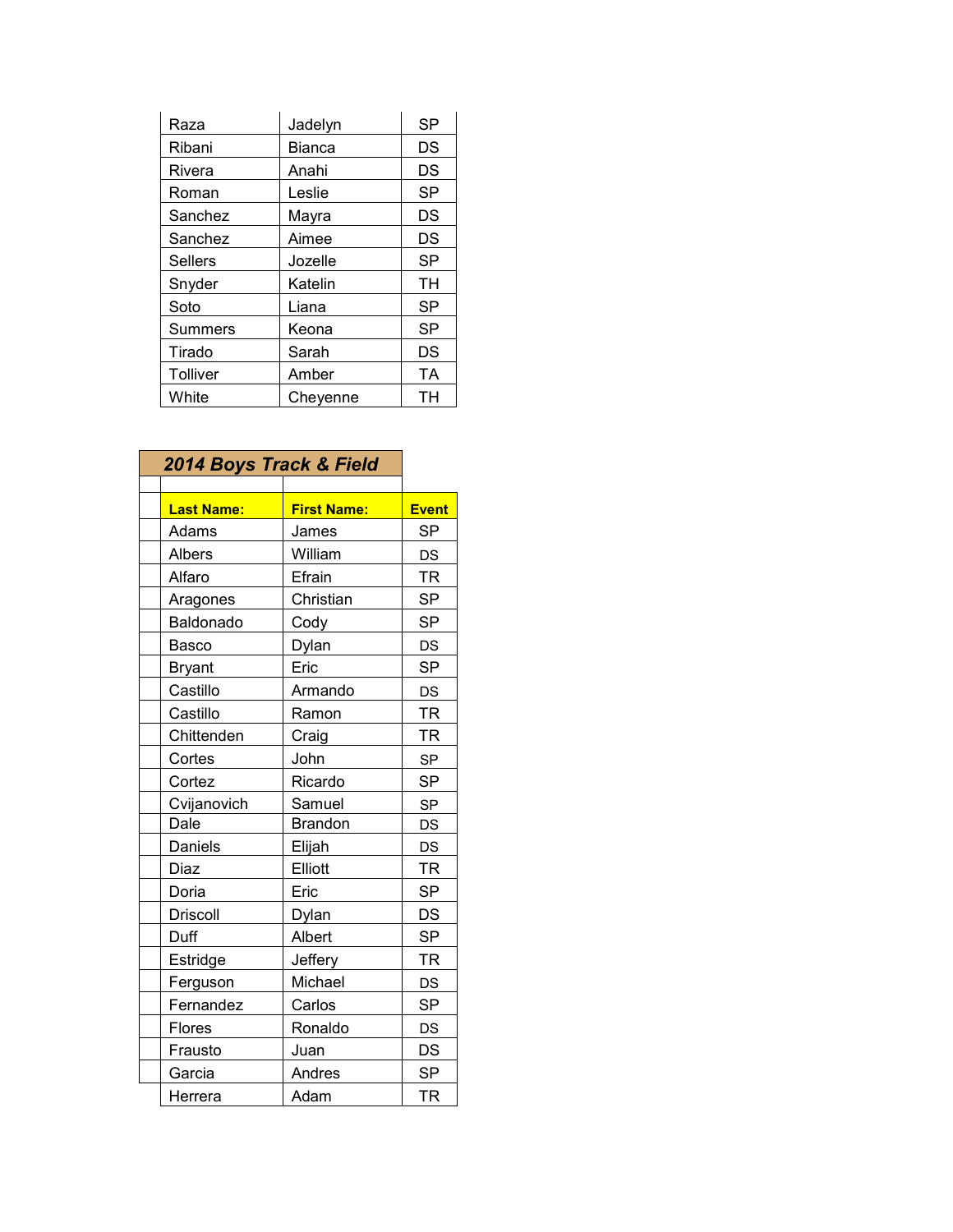| Raza            | Jadelyn       | <b>SP</b> |
|-----------------|---------------|-----------|
| Ribani          | <b>Bianca</b> | DS        |
| Rivera          | Anahi         | DS        |
| Roman           | Leslie        | <b>SP</b> |
| Sanchez         | Mayra         | DS        |
| Sanchez         | Aimee         | DS        |
| <b>Sellers</b>  | Jozelle       | <b>SP</b> |
| Snyder          | Katelin       | TH        |
| Soto            | Liana         | <b>SP</b> |
| Summers         | Keona         | SP        |
| Tirado          | Sarah         | DS        |
| <b>Tolliver</b> | Amber         | TA        |
| White           | Chevenne      | TН        |

| 2014 Boys Track & Field |                    |              |
|-------------------------|--------------------|--------------|
| <b>Last Name:</b>       | <b>First Name:</b> | <b>Event</b> |
| Adams                   | James              | <b>SP</b>    |
| <b>Albers</b>           | William            | <b>DS</b>    |
| Alfaro                  | Efrain             | <b>TR</b>    |
| Aragones                | Christian          | <b>SP</b>    |
| Baldonado               | Cody               | <b>SP</b>    |
| Basco                   | Dylan              | <b>DS</b>    |
| <b>Bryant</b>           | Eric               | <b>SP</b>    |
| Castillo                | Armando            | <b>DS</b>    |
| Castillo                | Ramon              | <b>TR</b>    |
| Chittenden              | Craig              | <b>TR</b>    |
| Cortes                  | John               | <b>SP</b>    |
| Cortez                  | Ricardo            | <b>SP</b>    |
| Cvijanovich             | Samuel             | <b>SP</b>    |
| Dale                    | <b>Brandon</b>     | DS           |
| Daniels                 | Elijah             | <b>DS</b>    |
| Diaz                    | Elliott            | <b>TR</b>    |
| Doria                   | Eric               | <b>SP</b>    |
| <b>Driscoll</b>         | Dylan              | DS           |
| Duff                    | Albert             | <b>SP</b>    |
| Estridge                | Jeffery            | <b>TR</b>    |
| Ferguson                | Michael            | DS           |
| Fernandez               | Carlos             | <b>SP</b>    |
| Flores                  | Ronaldo            | <b>DS</b>    |
| Frausto                 | Juan               | DS           |
| Garcia                  | Andres             | <b>SP</b>    |
| Herrera                 | Adam               | <b>TR</b>    |